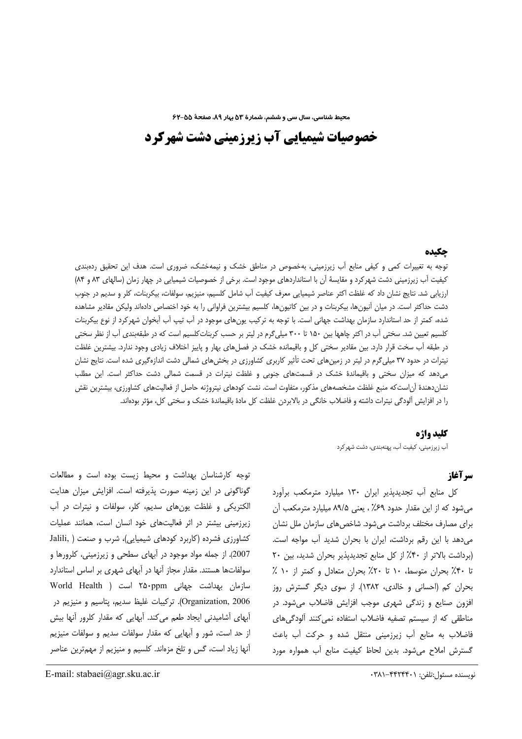محیط شناسی، سال سی و ششم، شمارهٔ ۵۳ بهار ۸۹، صفحهٔ ۵۵−۶۲

# خصوصیات شیمیایی آب زیرزمینی دشت شهرکرد

# حكىده

توجه به تغییرات کمی و کیفی منابع آب زیرزمینی، بهخصوص در مناطق خشک و نیمهخشک، ضروری است. هدف این تحقیق ردهبندی کیفیت آب زیرزمینی دشت شهر کرد و مقایسهٔ آن با استانداردهای موجود است. برخی از خصوصیات شیمیایی در چهار زمان (سالهای ۸۳ و ۸۴) ارزیابی شد. نتایج نشان داد که غلظت اکثر عناصر شیمیایی معرف کیفیت آب شامل کلسیم، منیزیم، سولفات، بیکربنات، کلر و سدیم در جنوب دشت حداکثر است. در میان آنیونها، بیکربنات و در بین کاتیونها، کلسیم بیشترین فراوانی را به خود اختصاص دادهاند ولیکن مقادیر مشاهده شده، کمتر از حد استاندارد سازمان بهداشت جهانی است. با توجه به ترکیب یونهای موجود در آب تیپ آب آبخوان شهرکرد از نوع بیکربنات کلسیم تعیین شد. سختی آب در اکثر چاهها بین ۱۵۰ تا ۳۰۰ میلیگرم در لیتر بر حسب کربناتکلسیم است که در طبقهبندی آب از نظر سختی در طبقه آب سخت قرار دارد. بین مقادیر سختی کل و باقیمانده خشک در فصلهای بهار و پاییز اختلاف زیادی وجود ندارد. بیشترین غلظت نیترات در حدود ۳۷ میلی گرم در لیتر در زمینهای تحت تأثیر کاربری کشاورزی در بخشهای شمالی دشت اندازهگیری شده است. نتایج نشان میدهد که میزان سختی و باقیماندهٔ خشک در قسمتهای جنوبی و غلظت نیترات در قسمت شمالی دشت حداکثر است. این مطلب نشاندهندهٔ اَن|ستکه منبع غلظت مشخصههای مذکور، متفاوت است. نشت کودهای نیتروژنه حاصل از فعالیتهای کشاورزی، بیشترین نقش را در افزایش آلودگی نیترات داشته و فاضلاب خانگی در بالابردن غلظت کل مادهٔ باقیماندهٔ خشک و سختی کل، مؤثر بودهاند.

#### كليد واژه

اَب زیرزمینی، کیفیت اَب، پهنهبندی، دشت شهر کرد

# سر آغاز

کل منابع آب تجدیدپذیر ایران ۱۳۰ میلیارد مترمکعب برآورد می شود که از این مقدار حدود ۶۹٪ ، یعنی ۸۹/۵ میلیارد مترمکعب آن برای مصارف مختلف برداشت می شود. شاخص های سازمان ملل نشان می دهد با این رقم برداشت، ایران با بحران شدید أب مواجه است. (برداشت بالاتر از ۴٠٪ از كل منابع تجديدپذير بحران شديد، بين ٢٠ تا ۴۰٪ بحران متوسط، ١٠ تا ٢٠٪ بحران متعادل و كمتر از ١٠ ٪ بحران کم (احسانی و خالدی، ۱۳۸۲). از سوی دیگر گسترش روز افزون صنایع و زندگی شهری موجب افزایش فاضلاب می شود. در مناطقی که از سیستم تصفیه فاضلاب استفاده نمی کنند آلودگیهای فاضلاب به منابع أب زيرزميني منتقل شده وحركت أب باعث گسترش املاح می شود. بدین لحاظ کیفیت منابع آب همواره مورد

توجه کارشناسان بهداشت و محیط زیست بوده است و مطالعات گوناگونی در این زمینه صورت پذیرفته است. افزایش میزان هدایت الکتریکی و غلظت یونهای سدیم، کلر، سولفات و نیترات در آب زیرزمینی بیشتر در اثر فعالیتهای خود انسان است، همانند عملیات کشاورزی فشرده (کاربرد کودهای شیمیایی)، شرب و صنعت ( ,Jalili 2007). از جمله مواد موجود در آبهای سطحی و زیرزمینی، کلرورها و سولفاتها هستند. مقدار مجاز أنها در أبهای شهری بر اساس استاندارد سازمان بهداشت جهانی ۲۵۰ppm است ( World Health Organization, 2006). تركيبات غليظ سديم، يتاسيم و منيزيم در أبهای أشامیدنی ایجاد طعم میکند. أبهایی که مقدار کلرور أنها بیش از حد است، شور و آبهایی که مقدار سولفات سدیم و سولفات منیزیم آنها زیاد است، گس و تلخ مزهاند. کلسیم و منیزیم از مهمترین عناصر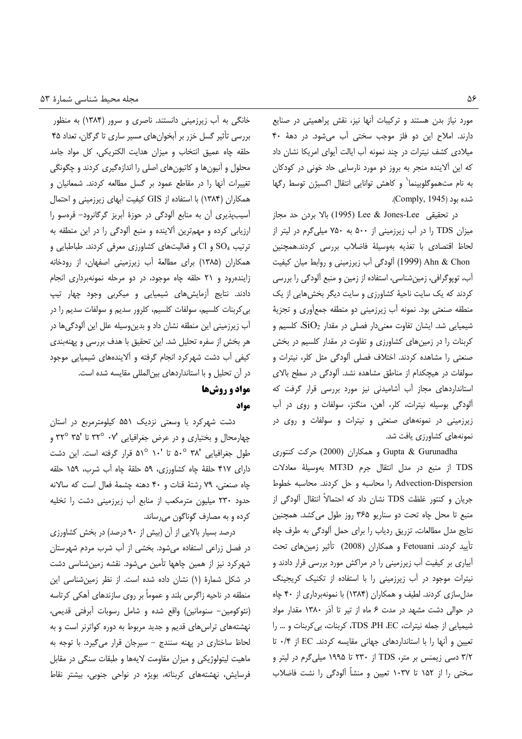مورد نیاز بدن هستند و ترکیبات آنها نیز، نقش پراهمیتی در صنایع دارند. املاح این دو فلز موجب سختی آب میشود. در دههٔ ۴۰ میلادی کشف نیترات در چند نمونه آب ایالت آیوای امریکا نشان داد که این آلاینده منجر به بروز دو مورد نارسایی حاد خونی در کودکان به نام متهموگلوبینما<sup>٬</sup> و کاهش توانایی انتقال اکسیژن توسط رگها شده بود (Comply, 1945).

در تحقيقى Lee & Jones-Lee (1995) بالا بردن حد مجاز میزان TDS را در آب زیرزمینی از ۵۰۰ به ۷۵۰ میلی گرم در لیتر از لحاظ اقتصادى با تغذيه بهوسيلة فاضلاب بررسى كردند.همچنين Ahn & Chon (1999) آلودگی آب زیرزمینی و روابط میان کیفیت آب، توپوگرافی، زمینشناسی، استفاده از زمین و منبع آلودگی را بررسی کردند که یک سایت ناحیهٔ کشاورزی و سایت دیگر بخشهایی از یک منطقه صنعتی بود. نمونه آب زیرزمینی دو منطقه جمعأوری و تجزیهٔ شیمیایی شد. ایشان تفاوت معنیدار فصلی در مقدار  $\text{SiO}_2$ ، کلسیم و کربنات را در زمینهای کشاورزی و تفاوت در مقدار کلسیم در بخش صنعتی را مشاهده کردند. اختلاف فصلی ألودگی مثل کلر، نیترات و سولفات در هیچکدام از مناطق مشاهده نشد. آلودگی در سطح بالای استانداردهای مجاز آب آشامیدنی نیز مورد بررسی قرار گرفت که ألودگی بوسیله نیترات، کلر، آهن، منگنز، سولفات و روی در آب زیرزمینی در نمونههای صنعتی و نیترات و سولفات و روی در نمونههای کشاورزی یافت شد.

Gupta & Gurunadha و همکاران (2000) حرکت کنتوری TDS از منبع در مدل انتقال جرم MT3D بهوسيلة معادلات Advection-Dispersion را محاسبه و حل کردند. محاسبه خطوط جریان و کنتور غلظت TDS نشان داد که احتمالاً انتقال آلودگی از منبع تا محل چاه تحت دو سناريو ٣۶۵ روز طول مي كشد. همچنين نتايج مدل مطالعات، تزريق ردياب را براي حمل ألودگي به طرف چاه تأييد كردند. Fetouani و همكاران (2008) تأثير زمينهاى تحت آبیاری بر کیفیت آب زیرزمینی را در مراکش مورد بررسی قرار دادند و نیترات موجود در آب زیرزمینی را با استفاده از تکنیک کریجینگ مدلسازی کردند. لطیف و همکاران (۱۳۸۴) با نمونهبرداری از ۴۰ چاه در حوالی دشت مشهد در مدت ۶ ماه از تیر تا آذر ١٣٨٠ مقدار مواد شیمیایی از جمله نیترات، TDS ،PH ،EC، کربنات، بی کربنات و … را تعیین و آنها را با استانداردهای جهانی مقایسه کردند. EC از ۰/۴ تا ۳/۲ دسی زیمنس بر متر، TDS از ۲۳۰ تا ۱۹۹۵ میلی گرم در لیتر و سختی را از ۱۵۲ تا ۱۰۳۷ تعیین و منشأ آلودگی را نشت فاضلاب

خانگی به آب زیرزمینی دانستند. ناصری و سرور (۱۳۸۴) به منظور بررسی تأثیر گسل خزر بر ابخوانهای مسیر ساری تا گرگان، تعداد ۴۵ حلقه چاه عميق انتخاب و ميزان هدايت الكتريكي، كل مواد جامد محلول و آنیونها و کاتیونهای اصلی را اندازهگیری کردند و چگونگی تغییرات آنها را در مقاطع عمود بر گسل مطالعه کردند. شمعانیان و همکاران (۱۳۸۴) با استفاده از GIS کیفیت آبهای زیرزمینی و احتمال أسيبپذيري أن به منابع ألودگي در حوزة أبريز گرگانرود- قرەسو را ارزیابی کرده و مهمترین آلاینده و منبع آلودگی را در این منطقه به ترتیب SO<sub>4</sub> و Cl و فعالیتهای کشاورزی معرفی کردند. طباطبایی و همکاران (۱۳۸۵) برای مطالعهٔ أب زیرزمینی اصفهان، از رودخانه زایندهرود و ۲۱ حلقه چاه موجود، در دو مرحله نمونهبرداری انجام دادند. نتایج آزمایش های شیمیایی و میکربی وجود چهار تیپ بی کربنات کلسیم، سولفات کلسیم، کلرور سدیم و سولفات سدیم را در آب زیرزمینی این منطقه نشان داد و بدینوسیله علل این آلودگیها در هر بخش از سفره تحلیل شد. این تحقیق با هدف بررسی و پهنهبندی کیفی أب دشت شهرکرد انجام گرفته و ألایندههای شیمیایی موجود در آن تحلیل و با استانداردهای بینالمللی مقایسه شده است.

# مواد و روشها مواد

دشت شهرکرد با وسعتی نزدیک ۵۵۱ کیلومترمربع در استان چهارمحال و بختیاری و در عرض جغرافیایی '۲۷° ۳۲° تا '۳۲° ۳۵ و طول جغرافیایی '۵۰° ۵۰° تا '۱۰ °۵۱ قرار گرفته است. این دشت دارای ۴۱۷ حلقهٔ چاه کشاورزی، ۵۹ حلقهٔ چاه آب شرب، ۱۵۹ حلقه چاه صنعتی، ٧٩ رشتهٔ قنات و ۴٠ دهنه چشمهٔ فعال است که سالانه حدود ۲۳۰ میلیون مترمکعب از منابع آب زیرزمینی دشت را تخلیه كرده و به مصارف گوناگون مىرساند.

درصد بسیار بالایی از آن (بیش از ۹۰ درصد) در بخش کشاورزی در فصل زراعی استفاده میشود. بخشی از آب شرب مردم شهرستان شهر کرد نیز از همین چاهها تأمین میشود. نقشه زمینشناسی دشت در شکل شمارهٔ (۱) نشان داده شده است. از نظر زمینشناسی این منطقه در ناحیه زاگرس بلند و عموماً بر روی سازندهای آهکی کرتاسه (نئوكومين- سنومانين) واقع شده و شامل رسوبات أبرفتى قديمى، نهشتههای تراسهای قدیم و جدید مربوط به دوره کواترنر است و به لحاظ ساختاری در پهنه سنندج - سیرجان قرار میگیرد. با توجه به ماهیت لیتولوژیکی و میزان مقاومت لایهها و طبقات سنگی در مقابل فرسایش، نهشتههای کربناته، بویژه در نواحی جنوبی، بیشتر نقاط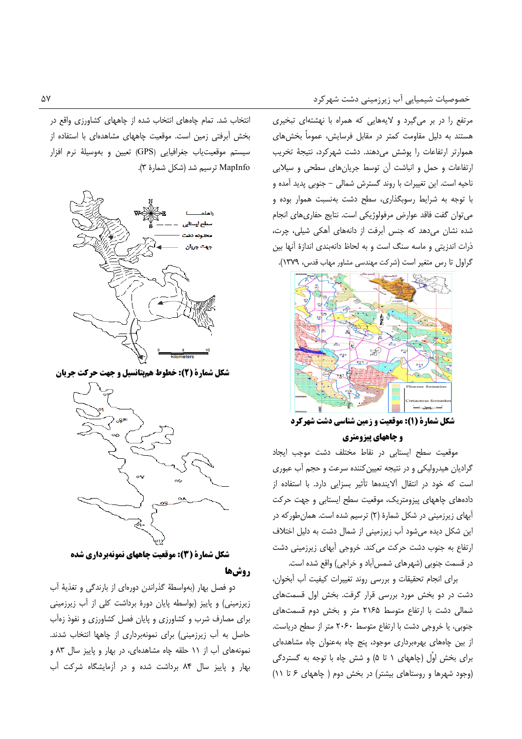مرتفع را در بر میگیرد و لایههایی که همراه با نهشتهای تبخیری هستند به دلیل مقاومت کمتر در مقابل فرسایش، عموماً بخشهای هموارتر ارتفاعات را پوشش مى هند. دشت شهركرد، نتيجة تخريب ارتفاعات و حمل و انباشت آن توسط جریانهای سطحی و سیلابی ناحیه است. این تغییرات با روند گسترش شمالی – جنوبی پدید آمده و با توجه به شرایط رسوبگذاری، سطح دشت بهنسبت هموار بوده و می توان گفت فاقد عوارض مرفولوژیکی است. نتایج حفاری های انجام شده نشان می دهد که جنس آبرفت از دانههای آهکی شیلی، چرت، ذرات اندزیتی و ماسه سنگ است و به لحاظ دانهبندی اندازهٔ آنها بین گراول تا رس متغیر است (شرکت مهندسی مشاور مهاب قدس، ١٣٧٩).



شکل شمارة (1): موقعیت و زمین شناسی دشت شهرکرد **و چاههای پیزومتری** 

موقعیت سطح ایستابی در نقاط مختلف دشت موجب ایجاد گرادیان هیدرولیکی و در نتیجه تعیین کننده سرعت و حجم آب عبوری است که خود در انتقال آلایندهها تأثیر بسزایی دارد. با استفاده از دادههای چاههای پیزومتریک، موقعیت سطح ایستابی و جهت حرکت آبهای زیرزمینی در شکل شمارهٔ (۲) ترسیم شده است. همان طورکه در این شکل دیده میشود آب زیرزمینی از شمال دشت به دلیل اختلاف ارتفاع به جنوب دشت حرکت می کند. خروجی آبهای زیرزمینی دشت در قسمت جنوبی (شهرهای شمس آباد و خراجی) واقع شده است.

برای انجام تحقیقات و بررسی روند تغییرات کیفیت آب آبخوان، دشت در دو بخش مورد بررسی قرار گرفت. بخش اول قسمتهای شمالی دشت با ارتفاع متوسط ۲۱۶۵ متر و بخش دوم قسمتهای جنوبی، یا خروجی دشت با ارتفاع متوسط ٢٠۶٠ متر از سطح دریاست. از بین چاههای بهرهبرداری موجود، پنج چاه بهعنوان چاه مشاهدهای برای بخش اوّل (چاههای ۱ تا ۵) و شش چاه با توجه به گستردگی (وجود شهرها و روستاهای بیشتر) در بخش دوم ( چاههای ۶ تا ۱۱)

انتخاب شد. تمام چاههای انتخاب شده از چاههای کشاورزی واقع در بخش أبرفتي زمين است. موقعيت چاههاي مشاهدهاي با استفاده از سيستم موقعيت ياب جغرافيايي (GPS) تعيين و بهوسيلة نرم افزار MapInfo ترسيم شد (شكل شمارة ٣).



شکل شمارة (2): خطوط همپتانسیل و جهت حرکت جریان



شکل شمارة (3): موقعیت چاههای نمونهبرداری شده **روش6ا** 

دو فصل بهار (بهواسطهٔ گذراندن دورهای از بارندگی و تغذیهٔ أب زیرزمینی) و پاییز (بواسطه پایان دورهٔ برداشت کلی از آب زیرزمینی برای مصارف شرب و کشاورزی و پایان فصل کشاورزی و نفوذ زمآب حاصل به آب زیرزمینی) برای نمونهبرداری از چاهها انتخاب شدند. نمونههای آب از ۱۱ حلقه چاه مشاهدهای، در بهار و پاییز سال ۸۳ و بهار و پاییز سال ۸۴ برداشت شده و در آزمایشگاه شرکت آب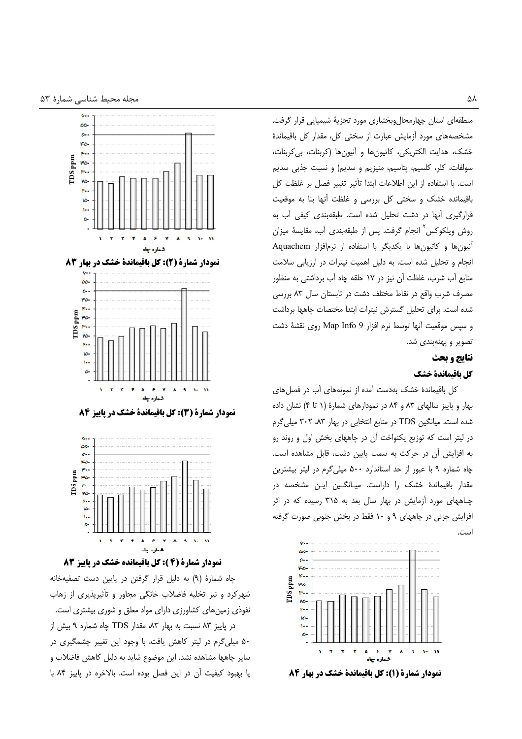

نمودار شمارة (4 ): كل باقيمانده خشك در پاييز 8

چاه شمارهٔ (۹) به دلیل قرار گرفتن در پایین دست تصفیهخانه شهر کرد و نیز تخلیه فاضلاب خانگی مجاور و تأثیریذیری از زهاب نفوذی زمینهای کشاورزی دارای مواد معلق و شوری بیشتری است. در پاییز ۸۳ نسبت به بهار ۸۳، مقدار TDS چاه شماره ۹ بیش از ۵۰ میلی گرم در لیتر کاهش یافت، با وجود این تغییر چشمگیری در سایر چاهها مشاهده نشد. این موضوع شاید به دلیل کاهش فاضلاب و يا بهبود كيفيت آن در اين فصل بوده است. بالاخره در پاييز ٨۴ با منطقهای استان چهارمحال وبختیاری مورد تجزیهٔ شیمیایی قرار گرفت. مشخصههای مورد أزمایش عبارت از سختی کل، مقدار کل باقیماندهٔ خشک، هدایت الکتریکی، کاتیونها و آنیونها (کربنات، بی کربنات، سولفات، کلر، کلسیم، پتاسیم، منیزیم و سدیم) و نسبت جذبی سدیم است. با استفاده از این اطلاعات ابتدا تأثیر تغییر فصل بر غلظت کل باقیمانده خشک و سختی کل بررسی و غلظت آنها بنا به موقعیت قرارگیری آنها در دشت تحلیل شده است. طبقهبندی کیفی آب به روش ویلکوکس ٔ انجام گرفت. پس از طبقهبندی آب، مقایسهٔ میزان آنیون ها و کاتیون ها با یکدیگر با استفاده از نرمافزار Aquachem انجام و تحلیل شده است. به دلیل اهمیت نیترات در ارزیابی سلامت منابع أب شرب، غلظت أن نيز در ١٧ حلقه چاه أب برداشتي به منظور مصرف شرب واقع در نقاط مختلف دشت در تابستان سال ۸۳ بررسی شده است. برای تحلیل گسترش نیترات ابتدا مختصات چاهها برداشت و سپس موقعیت آنها توسط نرم افزار Map Info 9 روی نقشهٔ دشت تصوير و پهنهبندي شد.

#### نتايج و بحث

## كل باقيماندة خشك

کل باقیماندهٔ خشک بهدست آمده از نمونههای آب در فصلهای بهار و پاییز سالهای ۸۳ و ۸۴ در نمودارهای شمارهٔ (۱ تا ۴) نشان داده شده است. میانگین TDS در منابع انتخابی در بهار ۸۳، ۳۰۲ میلی گرم در لیتر است که توزیع یکنواخت آن در چاههای بخش اول و روند رو به افزایش آن در حرکت به سمت پایین دشت، قابل مشاهده است. چاه شماره ۹ با عبور از حد استاندارد ۵۰۰ میلی گرم در لیتر بیشترین مقدار باقیماندهٔ خشک را داراست. میـانگـین ایـن مشخصه در چـاههای مورد آزمایش در بهار سال بعد به ۳۱۵ رسیده که در اثر افزایش جزئی در چاههای ۹ و ۱۰ فقط در بخش جنوبی صورت گرفته است.



نمودار شمارة (1): كل باقيماندة خشك در بهار 84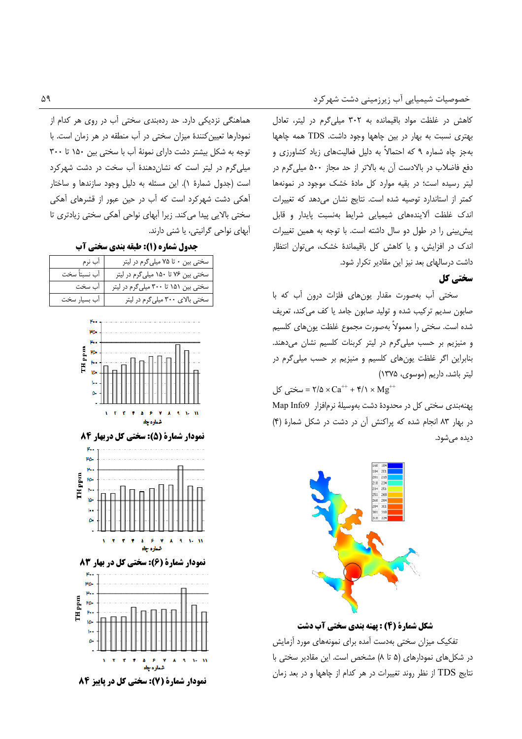کاهش در غلظت مواد باقیمانده به ۳۰۲ میلی گرم در لیتر، تعادل بهتری نسبت به بهار در بین چاهها وجود داشت. TDS همه چاهها بهجز چاه شماره ۹ که احتمالاً به دلیل فعالیتهای زیاد کشاورزی و دفع فاضلاب در بالادست آن به بالاتر از حد مجاز ۵۰۰ میلی گرم در لیتر رسیده است؛ در بقیه موارد کل مادهٔ خشک موجود در نمونهها كمتر از استاندارد توصيه شده است. نتايج نشان مى دهد كه تغييرات اندک غلظت آلایندههای شیمیایی شرایط بهنسبت پایدار و قابل پیش بینی را در طول دو سال داشته است. با توجه به همین تغییرات اندک در افزایش، و یا کاهش کل باقیماندهٔ خشک، می توان انتظار داشت درسالهای بعد نیز این مقادیر تکرار شود.

# سختی کل

سختی آب بهصورت مقدار یونهای فلزات درون آب که با صابون سدیم ترکیب شده و تولید صابون جامد یا کف می کند، تعریف شده است. سختی را معمولاً بهصورت مجموع غلظت یونهای کلسیم و منیزیم بر حسب میلیگرم در لیتر کربنات کلسیم نشان میدهند. بنابراین اگر غلظت یونهای کلسیم و منیزیم بر حسب میلیگرم در ليتر باشد، داريم (موسوى، ١٣٧۵)

سختی کل $\cos^{-+}$  + \*/\d × Ca<sup>++</sup> + \*/\ × Mg

پهنهبندی سختی کل در محدودهٔ دشت بهوسیلهٔ نرمافزار Map Info9 در بهار ٨٣ انجام شده كه پراكنش آن در دشت در شكل شمارهٔ (۴) دیدہ مے شود.



شکل شمارة (4) : پهنه بندي سختي آب دشت تفکیک میزان سختی بهدست آمده برای نمونههای مورد آزمایش در شکلهای نمودارهای (۵ تا ۸) مشخص است. این مقادیر سختی با نتايج TDS از نظر روند تغييرات در هر كدام از چاهها و در بعد زمان

هماهنگی نزدیکی دارد. حد ردهبندی سختی آب در روی هر کدام از نمودارها تعیین کنندهٔ میزان سختی در آب منطقه در هر زمان است. با توجه به شكل بيشتر دشت داراى نمونهٔ آب با سختى بين ١۵٠ تا ٣٠٠ میلی گرم در لیتر است که نشان دهندهٔ آب سخت در دشت شهر کرد است (جدول شمارة ١). اين مسئله به دليل وجود سازندها و ساختار آهکی دشت شهرکرد است که آب در حین عبور از قشرهای آهکی سختی بالایی پیدا میکند. زیرا آبهای نواحی آهکی سختی زیادتری تا آبهای نواحی گرانیتی، یا شنی دارند.

جدول شماره (1): طبقه بندی سختی آب

| آب نرم        | سختی بین ۰ تا ۷۵ میلی گرم در لیتر            |
|---------------|----------------------------------------------|
| آب نسبتاً سخت | _____<br>سختی بین ۷۶ تا ۱۵۰ میلی گرم در لیتر |
| آب سخت        | سختی بین ۱۵۱ تا ۳۰۰ میلی گرم در لیتر         |
| أب بسيار سخت  | سختی بالای ۳۰۰ میلی گرم در لیتر              |



نمودار شمارة (5): سختي كل دربهار 84





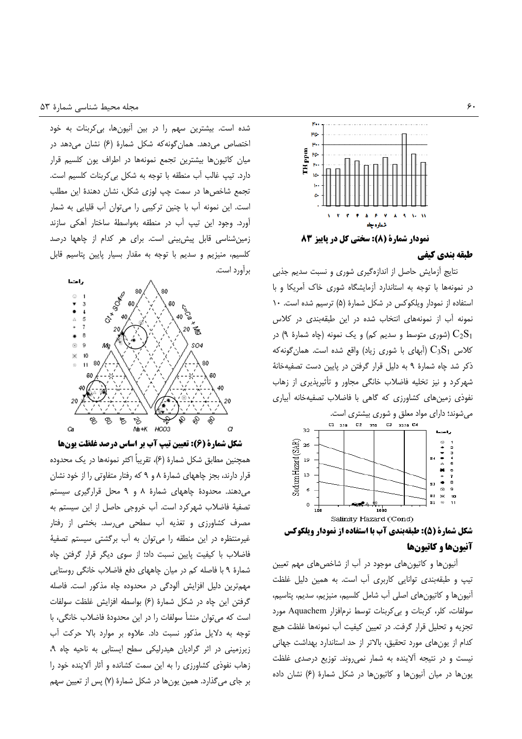

#### طبقه بندي كيفي

نتایج أزمایش حاصل از اندازهگیری شوری و نسبت سدیم جذبی در نمونهها با توجه به استاندارد آزمایشگاه شوری خاک آمریکا و با استفاده از نمودار ویلکوکس در شکل شمارهٔ (۵) ترسیم شده است. ۱۰ نمونه آب از نمونههای انتخاب شده در این طبقهبندی در کلاس شوری متوسط و سدیم کم) و یک نمونه (چاه شمارهٔ ۹) در ( کلاس  $\rm{C_3S_1}$  (آبهای با شوری زیاد) واقع شده است. همان $\rm{C_3S_1}$ ذکر شد چاه شمارهٔ ۹ به دلیل قرار گرفتن در پایین دست تصفیهخانهٔ شهرکرد و نیز تخلیه فاضلاب خانگی مجاور و تأثیرپذیری از زهاب نفوذی زمین های کشاورزی که گاهی با فاضلاب تصفیهخانه آبیاری



### آنيونها و كاتيونها

آنیون ها و کاتیون های موجود در آب از شاخص های مهم تعیین تیپ و طبقهبندی توانایی کاربری آب است. به همین دلیل غلظت آنيونها و كاتيونهاى اصلى آب شامل كلسيم، منيزيم، سديم، پتاسيم، سولفات، كلر، كربنات وبي كربنات توسط نرم افزار Aquachem مورد تجزیه و تحلیل قرار گرفت. در تعیین کیفیت آب نمونهها غلظت هیچ كدام از یونهای مورد تحقیق، بالاتر از حد استاندارد بهداشت جهانی نیست و در نتیجه آلاینده به شمار نمی روند. توزیع درصدی غلظت یونها در میان آنیونها و کاتیونها در شکل شمارهٔ (۶) نشان داده

شده است. بیشترین سهم را در بین آنیونها، بی کربنات به خود اختصاص می دهد. همان گونه که شکل شمارهٔ (۶) نشان می دهد در میان کاتیونها بیشترین تجمع نمونهها در اطراف یون کلسیم قرار دارد. تیپ غالب آب منطقه با توجه به شکل بی کربنات کلسیم است. تجمع شاخصها در سمت چپ لوزی شکل، نشان دهندهٔ این مطلب است. این نمونه آب با چنین ترکیبی را می توان آب قلیایی به شمار آورد. وجود این تیپ آب در منطقه بهواسطهٔ ساختار آهکی سازند زمین شناسی قابل پیش بینی است. برای هر کدام از چاهها درصد كلسيم، منيزيم و سديم با توجه به مقدار بسيار پايين پتاسيم قابل برآورد است.



شکل شمارة (6): تعیین تیپ آب بر اساس درصد غلظت یونها همچنین مطابق شکل شمارهٔ (۶)، تقریباً اکثر نمونهها در یک محدوده قرار دارند، بجز چاههای شمارهٔ ۸ و ۹ که رفتار متفاوتی را از خود نشان میدهند. محدودهٔ چاههای شمارهٔ ۸ و ۹ محل قرارگیری سیستم تصفيهٔ فاضلاب شهركرد است. آب خروجی حاصل از این سیستم به مصرف کشاورزی و تغذیه آب سطحی می رسد. بخشی از رفتار غیرمنتظره در این منطقه را می توان به آب برگشتی سیستم تصفیهٔ فاضلاب با کیفیت پایین نسبت داد؛ از سوی دیگر قرار گرفتن چاه شمارهٔ ۹ با فاصله کم در میان چاههای دفع فاضلاب خانگی روستایی مهم ترین دلیل افزایش آلودگی در محدوده چاه مذکور است. فاصله گرفتن این چاه در شکل شمارهٔ (۶) بواسطه افزایش غلظت سولفات است که می توان منشأ سولفات را در این محدودهٔ فاضلاب خانگی، با توجه به دلایل مذکور نسبت داد. علاوه بر موارد بالا حرکت آب زیرزمینی در اثر گرادیان هیدرلیکی سطح ایستابی به ناحیه چاه ۹، زهاب نفوذی کشاورزی را به این سمت کشانده و آثار آلاینده خود را بر جای می گذارد. همین یونها در شکل شمارهٔ (۷) پس از تعیین سهم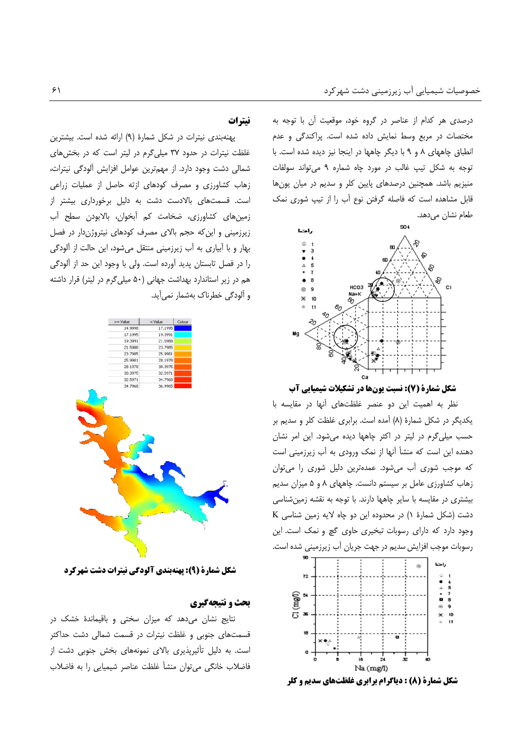درصدی هر کدام از عناصر در گروه خود، موقعیت آن با توجه به مختصات در مربع وسط نمایش داده شده است. پراکندگی و عدم انطباق چاههای ٨ و ٩ با دیگر چاهها در اینجا نیز دیده شده است. با توجه به شكل تيپ غالب در مورد چاه شماره ۹ مى تواند سولفات منیزیم باشد. همچنین درصدهای پایین کلر و سدیم در میان یونها قابل مشاهده است که فاصله گرفتن نوع آب را از تیپ شوری نمک طعام نشان مىدهد.



شکل شمارة (7): نسبت یونها در تشکیلات شیمیایی آب

نظر به اهمیت این دو عنصر غلظتهای آنها در مقایسه با یکدیگر در شکل شمارهٔ (۸) آمده است. برابری غلظت کلر و سدیم بر حسب میلی گرم در لیتر در اکثر چاهها دیده می شود. این امر نشان دهنده این است که منشأ آنها از نمک ورودی به آب زیرزمینی است که موجب شوری آب میشود. عمدهترین دلیل شوری را میتوان زهاب کشاورزی عامل بر سیستم دانست. چاههای ۸ و ۵ میزان سدیم بیشتری در مقایسه با سایر چاهها دارند. با توجه به نقشه زمین شناسی K (شت (شکل شمارهٔ ۱) در محدوده این دو چاه لایه زمین شناسی وجود دارد که دارای رسوبات تبخیری حاوی گچ و نمک است. این رسوبات موجب افزایش سدیم در جهت جریان آب زیرزمینی شده است.



**شکل شمارة (8) : دیاگرام برابری غلظتهای سدیم و کلر** 

# نيترات

پهنهبندی نیترات در شکل شمارهٔ (۹) ارائه شده است. بیشترین غلظت نیترات در حدود ٣٧ میلی گرم در لیتر است که در بخش های شمالی دشت وجود دارد. از مهمترین عوامل افزایش آلودگی نیترات، زهاب کشاورزی و مصرف کودهای ازته حاصل از عملیات زراعی است. قسمتهای بالادست دشت به دلیل برخورداری بیشتر از زمینهای کشاورزی، ضخامت کم ابخوان، بالابودن سطح اب زیرزمینی و این که حجم بالای مصرف کودهای نیتروژندار در فصل بهار و با اَبیاری به اَب زیرزمینی منتقل میشود، این حالت از اَلودگی را در فصل تابستان پدید آورده است. ولی با وجود این حد از آلودگی هم در زیر استاندارد بهداشت جهانی (۵۰ میلی گرم در لیتر) قرار داشته و ألودگی خطرناک بهشمار نمی[ید.



شکل شمارة (9): یهنهبندی آلودگی نیترات دشت شهرکرد

### بحث و نتیجهگیری

نتایج نشان میدهد که میزان سختی و باقیماندهٔ خشک در قسمتهای جنوبی و غلظت نیترات در قسمت شمالی دشت حداکثر است. به دلیل تأثیرپذیری بالای نمونههای بخش جنوبی دشت از فاضلاب خانگی می توان منشأ غلظت عناصر شیمیایی را به فاضلاب